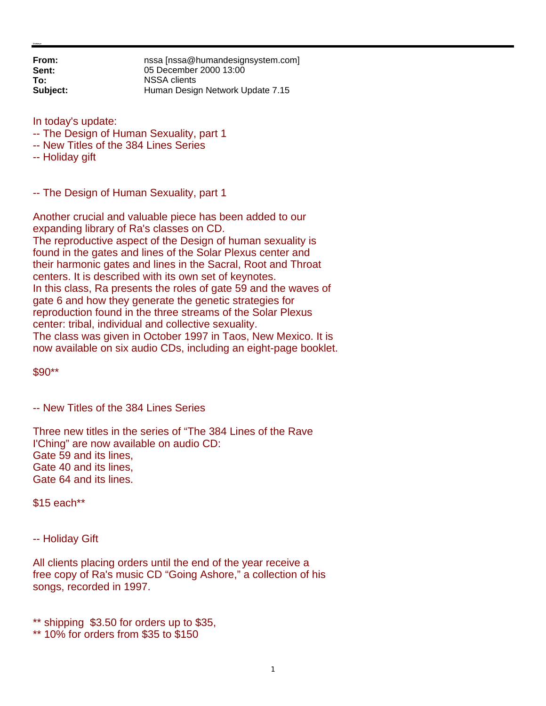**From: nssa** [nssa@humandesignsystem.com]<br> **Sent:** 05 December 2000 13:00 **Sent:** 05 December 2000 13:00 **To:** NSSA clients **Subject:** Human Design Network Update 7.15

In today's update:

- -- The Design of Human Sexuality, part 1
- -- New Titles of the 384 Lines Series
- -- Holiday gift

-- The Design of Human Sexuality, part 1

Another crucial and valuable piece has been added to our expanding library of Ra's classes on CD. The reproductive aspect of the Design of human sexuality is found in the gates and lines of the Solar Plexus center and their harmonic gates and lines in the Sacral, Root and Throat centers. It is described with its own set of keynotes. In this class, Ra presents the roles of gate 59 and the waves of gate 6 and how they generate the genetic strategies for reproduction found in the three streams of the Solar Plexus center: tribal, individual and collective sexuality. The class was given in October 1997 in Taos, New Mexico. It is now available on six audio CDs, including an eight-page booklet.

\$90\*\*

-- New Titles of the 384 Lines Series

Three new titles in the series of "The 384 Lines of the Rave I'Ching" are now available on audio CD: Gate 59 and its lines, Gate 40 and its lines, Gate 64 and its lines.

\$15 each\*\*

-- Holiday Gift

All clients placing orders until the end of the year receive a free copy of Ra's music CD "Going Ashore," a collection of his songs, recorded in 1997.

\*\* shipping \$3.50 for orders up to \$35,

\*\* 10% for orders from \$35 to \$150